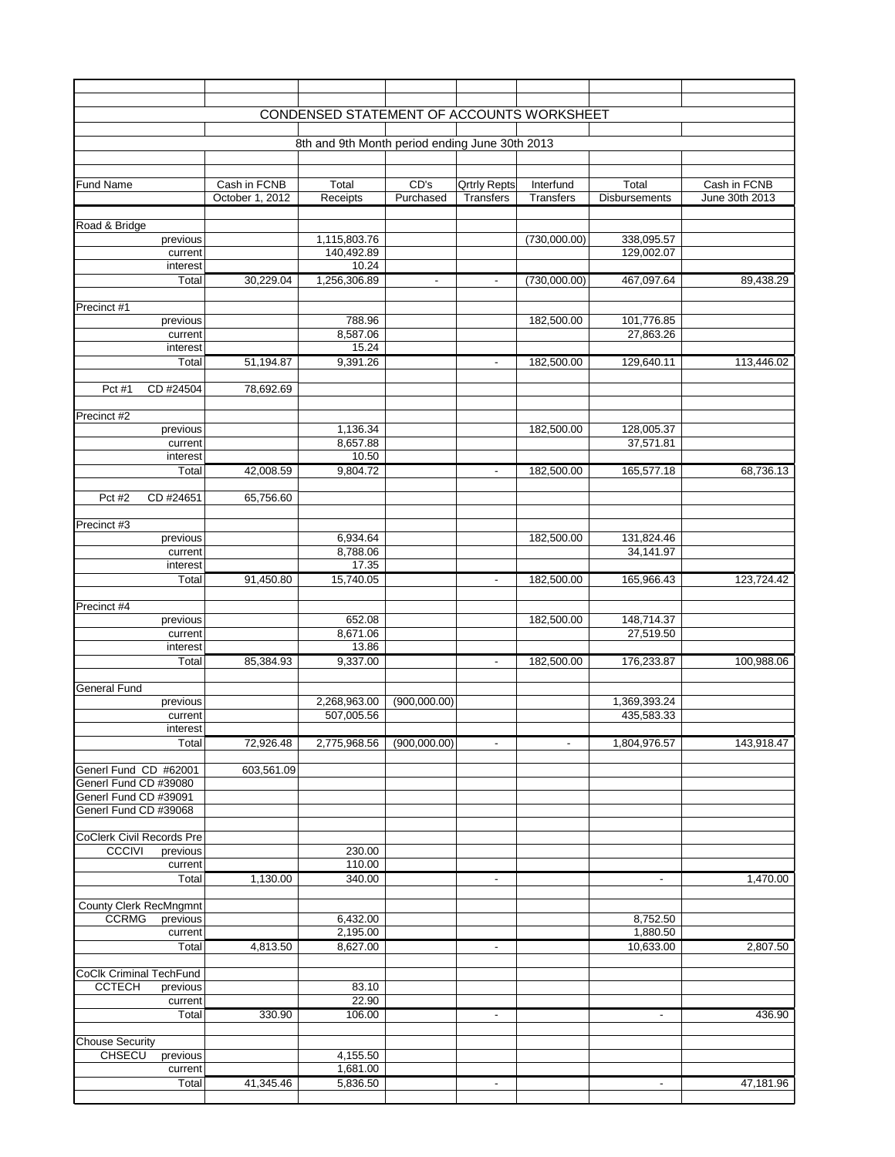|                                                               |                 | CONDENSED STATEMENT OF ACCOUNTS WORKSHEET      |                          |                     |                  |                            |                |
|---------------------------------------------------------------|-----------------|------------------------------------------------|--------------------------|---------------------|------------------|----------------------------|----------------|
|                                                               |                 | 8th and 9th Month period ending June 30th 2013 |                          |                     |                  |                            |                |
|                                                               |                 |                                                |                          |                     |                  |                            |                |
|                                                               |                 |                                                |                          |                     |                  |                            |                |
| <b>Fund Name</b>                                              | Cash in FCNB    | Total                                          | CD's<br>Purchased        | <b>Qrtrly Repts</b> | Interfund        | Total                      | Cash in FCNB   |
|                                                               | October 1, 2012 | Receipts                                       |                          | <b>Transfers</b>    | <b>Transfers</b> | <b>Disbursements</b>       | June 30th 2013 |
| Road & Bridge                                                 |                 |                                                |                          |                     |                  |                            |                |
| previous                                                      |                 | 1,115,803.76                                   |                          |                     | (730,000.00)     | 338,095.57                 |                |
| current                                                       |                 | 140,492.89                                     |                          |                     |                  | 129,002.07                 |                |
| interest<br>Total                                             | 30,229.04       | 10.24<br>1,256,306.89                          | $\overline{\phantom{a}}$ | $\blacksquare$      | (730,000.00)     | 467,097.64                 | 89,438.29      |
|                                                               |                 |                                                |                          |                     |                  |                            |                |
| Precinct #1                                                   |                 |                                                |                          |                     |                  |                            |                |
| previous                                                      |                 | 788.96                                         |                          |                     | 182,500.00       | 101,776.85                 |                |
| current<br>interest                                           |                 | 8,587.06<br>15.24                              |                          |                     |                  | 27,863.26                  |                |
| Total                                                         | 51,194.87       | 9,391.26                                       |                          |                     | 182,500.00       | 129,640.11                 | 113,446.02     |
|                                                               |                 |                                                |                          |                     |                  |                            |                |
| CD #24504<br>Pct #1                                           | 78,692.69       |                                                |                          |                     |                  |                            |                |
|                                                               |                 |                                                |                          |                     |                  |                            |                |
| Precinct #2<br>previous                                       |                 | 1,136.34                                       |                          |                     | 182,500.00       | 128,005.37                 |                |
| current                                                       |                 | 8,657.88                                       |                          |                     |                  | 37,571.81                  |                |
| interest                                                      |                 | 10.50                                          |                          |                     |                  |                            |                |
| Total                                                         | 42,008.59       | 9,804.72                                       |                          | $\sim$              | 182,500.00       | 165,577.18                 | 68,736.13      |
| Pct #2<br>CD #24651                                           | 65,756.60       |                                                |                          |                     |                  |                            |                |
|                                                               |                 |                                                |                          |                     |                  |                            |                |
| Precinct #3                                                   |                 |                                                |                          |                     |                  |                            |                |
| previous                                                      |                 | 6,934.64                                       |                          |                     | 182,500.00       | 131,824.46                 |                |
| current<br>interest                                           |                 | 8,788.06<br>17.35                              |                          |                     |                  | 34,141.97                  |                |
| Total                                                         | 91,450.80       | 15,740.05                                      |                          | $\blacksquare$      | 182,500.00       | 165,966.43                 | 123,724.42     |
|                                                               |                 |                                                |                          |                     |                  |                            |                |
| Precinct #4                                                   |                 |                                                |                          |                     |                  |                            |                |
| previous                                                      |                 | 652.08                                         |                          |                     | 182,500.00       | 148,714.37                 |                |
| current<br>interest                                           |                 | 8,671.06<br>13.86                              |                          |                     |                  | 27,519.50                  |                |
| Total                                                         | 85,384.93       | 9,337.00                                       |                          | $\blacksquare$      | 182,500.00       | 176,233.87                 | 100,988.06     |
|                                                               |                 |                                                |                          |                     |                  |                            |                |
| <b>General Fund</b>                                           |                 |                                                |                          |                     |                  |                            |                |
| previous<br>current                                           |                 | 2,268,963.00<br>507,005.56                     | (900,000.00)             |                     |                  | 1,369,393.24<br>435,583.33 |                |
| interest                                                      |                 |                                                |                          |                     |                  |                            |                |
| Total                                                         | 72,926.48       | 2,775,968.56                                   | (900,000.00)             | $\sim$              | $\blacksquare$   | 1,804,976.57               | 143,918.47     |
|                                                               |                 |                                                |                          |                     |                  |                            |                |
| Generl Fund CD #62001                                         | 603,561.09      |                                                |                          |                     |                  |                            |                |
| Generl Fund CD #39080<br>Generl Fund CD #39091                |                 |                                                |                          |                     |                  |                            |                |
| Generl Fund CD #39068                                         |                 |                                                |                          |                     |                  |                            |                |
|                                                               |                 |                                                |                          |                     |                  |                            |                |
| <b>CoClerk Civil Records Pre</b><br><b>CCCIVI</b><br>previous |                 | 230.00                                         |                          |                     |                  |                            |                |
| current                                                       |                 | 110.00                                         |                          |                     |                  |                            |                |
| Total                                                         | 1,130.00        | 340.00                                         |                          | $\blacksquare$      |                  | $\blacksquare$             | 1,470.00       |
|                                                               |                 |                                                |                          |                     |                  |                            |                |
| <b>County Clerk RecMngmnt</b>                                 |                 |                                                |                          |                     |                  |                            |                |
| <b>CCRMG</b><br>previous<br>current                           |                 | 6,432.00<br>2,195.00                           |                          |                     |                  | 8,752.50<br>1,880.50       |                |
| Total                                                         | 4,813.50        | 8,627.00                                       |                          | $\blacksquare$      |                  | 10,633.00                  | 2,807.50       |
|                                                               |                 |                                                |                          |                     |                  |                            |                |
| <b>CoClk Criminal TechFund</b>                                |                 |                                                |                          |                     |                  |                            |                |
| <b>CCTECH</b><br>previous<br>current                          |                 | 83.10<br>22.90                                 |                          |                     |                  |                            |                |
| Total                                                         | 330.90          | 106.00                                         |                          | $\blacksquare$      |                  | $\blacksquare$             | 436.90         |
|                                                               |                 |                                                |                          |                     |                  |                            |                |
| <b>Chouse Security</b>                                        |                 |                                                |                          |                     |                  |                            |                |
| <b>CHSECU</b><br>previous<br>current                          |                 | 4,155.50<br>1,681.00                           |                          |                     |                  |                            |                |
| Total                                                         | 41,345.46       | 5,836.50                                       |                          | $\blacksquare$      |                  | $\overline{\phantom{a}}$   | 47,181.96      |
|                                                               |                 |                                                |                          |                     |                  |                            |                |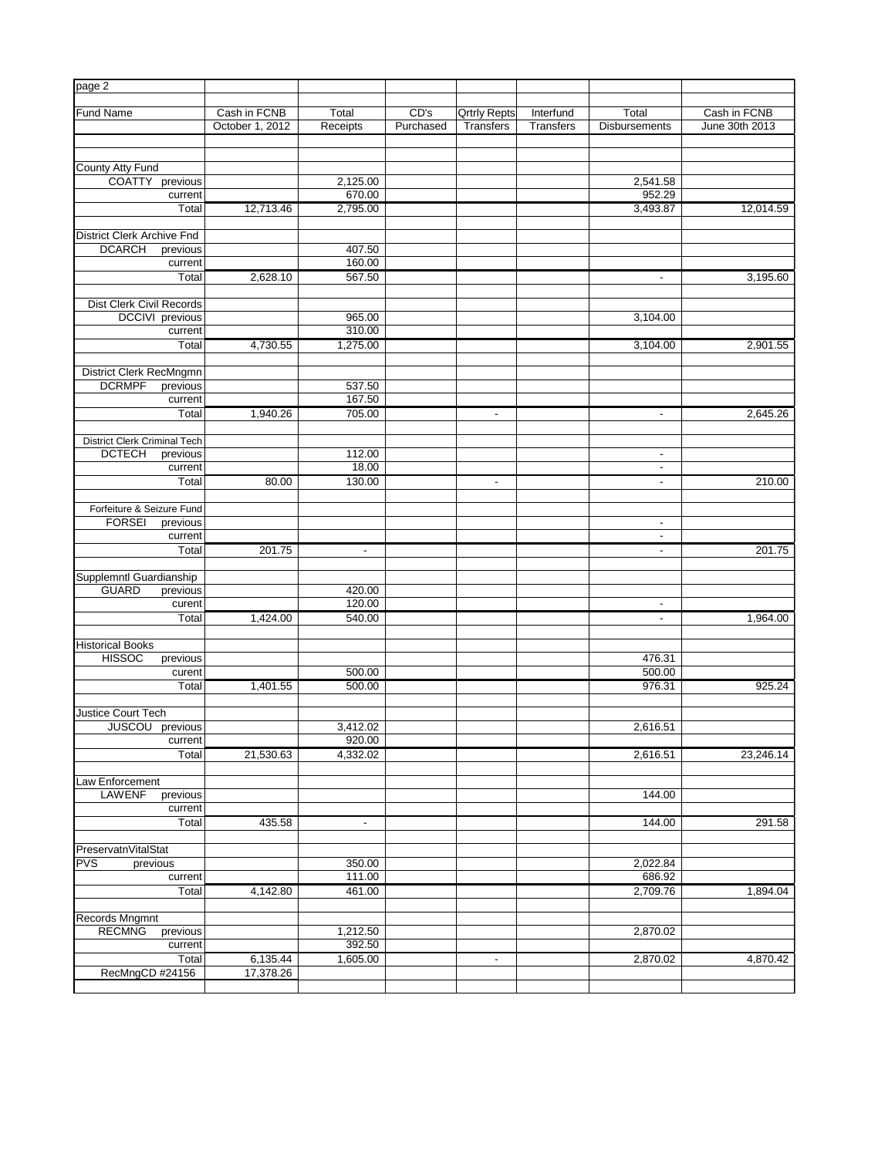| page 2                                                         |                 |                    |           |                     |                  |                          |                |
|----------------------------------------------------------------|-----------------|--------------------|-----------|---------------------|------------------|--------------------------|----------------|
| Fund Name                                                      | Cash in FCNB    | Total              | CD's      | <b>Qrtrly Repts</b> | Interfund        | Total                    | Cash in FCNB   |
|                                                                | October 1, 2012 | Receipts           | Purchased | <b>Transfers</b>    | <b>Transfers</b> | <b>Disbursements</b>     | June 30th 2013 |
|                                                                |                 |                    |           |                     |                  |                          |                |
| County Atty Fund                                               |                 |                    |           |                     |                  |                          |                |
| <b>COATTY</b><br>previous                                      |                 | 2,125.00           |           |                     |                  | 2,541.58                 |                |
| current                                                        |                 | 670.00             |           |                     |                  | 952.29                   |                |
| Total                                                          | 12,713.46       | 2,795.00           |           |                     |                  | 3,493.87                 | 12,014.59      |
|                                                                |                 |                    |           |                     |                  |                          |                |
| <b>District Clerk Archive Fnd</b><br><b>DCARCH</b><br>previous |                 | 407.50             |           |                     |                  |                          |                |
| current                                                        |                 | 160.00             |           |                     |                  |                          |                |
| Total                                                          | 2,628.10        | 567.50             |           |                     |                  | $\overline{\phantom{a}}$ | 3,195.60       |
|                                                                |                 |                    |           |                     |                  |                          |                |
| Dist Clerk Civil Records                                       |                 |                    |           |                     |                  |                          |                |
| DCCIVI previous<br>current                                     |                 | 965.00<br>310.00   |           |                     |                  | 3,104.00                 |                |
| Total                                                          | 4,730.55        | 1,275.00           |           |                     |                  | 3,104.00                 | 2,901.55       |
|                                                                |                 |                    |           |                     |                  |                          |                |
| <b>District Clerk RecMngmn</b>                                 |                 |                    |           |                     |                  |                          |                |
| <b>DCRMPF</b><br>previous                                      |                 | 537.50             |           |                     |                  |                          |                |
| current                                                        |                 | 167.50             |           |                     |                  |                          |                |
| Total                                                          | 1,940.26        | 705.00             |           | $\blacksquare$      |                  | $\blacksquare$           | 2,645.26       |
| District Clerk Criminal Tech                                   |                 |                    |           |                     |                  |                          |                |
| <b>DCTECH</b><br>previous                                      |                 | 112.00             |           |                     |                  | $\blacksquare$           |                |
| current                                                        |                 | 18.00              |           |                     |                  | $\overline{\phantom{a}}$ |                |
| Total                                                          | 80.00           | 130.00             |           | $\sim$              |                  | $\sim$                   | 210.00         |
|                                                                |                 |                    |           |                     |                  |                          |                |
| Forfeiture & Seizure Fund<br><b>FORSEI</b><br>previous         |                 |                    |           |                     |                  | $\blacksquare$           |                |
| current                                                        |                 |                    |           |                     |                  | $\blacksquare$           |                |
| Total                                                          | 201.75          | $\blacksquare$     |           |                     |                  | $\blacksquare$           | 201.75         |
|                                                                |                 |                    |           |                     |                  |                          |                |
| Supplemntl Guardianship                                        |                 |                    |           |                     |                  |                          |                |
| <b>GUARD</b><br>previous<br>curent                             |                 | 420.00<br>120.00   |           |                     |                  | $\blacksquare$           |                |
| Total                                                          | 1,424.00        | 540.00             |           |                     |                  | $\blacksquare$           | 1,964.00       |
|                                                                |                 |                    |           |                     |                  |                          |                |
| <b>Historical Books</b>                                        |                 |                    |           |                     |                  |                          |                |
| <b>HISSOC</b><br>previous                                      |                 |                    |           |                     |                  | 476.31                   |                |
| curent<br>Total                                                |                 | 500.00             |           |                     |                  | 500.00<br>976.31         | 925.24         |
|                                                                | 1,401.55        | 500.00             |           |                     |                  |                          |                |
| Justice Court Tech                                             |                 |                    |           |                     |                  |                          |                |
| <b>JUSCOU</b><br>previous                                      |                 | 3,412.02           |           |                     |                  | 2,616.51                 |                |
| current                                                        |                 | 920.00             |           |                     |                  |                          |                |
| Total                                                          | 21,530.63       | 4,332.02           |           |                     |                  | 2,616.51                 | 23,246.14      |
| Law Enforcement                                                |                 |                    |           |                     |                  |                          |                |
| <b>LAWENF</b><br>previous                                      |                 |                    |           |                     |                  | 144.00                   |                |
| current                                                        |                 |                    |           |                     |                  |                          |                |
| Total                                                          | 435.58          | $\blacksquare$     |           |                     |                  | 144.00                   | 291.58         |
|                                                                |                 |                    |           |                     |                  |                          |                |
| PreservatnVitalStat<br><b>PVS</b><br>previous                  |                 | 350.00             |           |                     |                  | 2,022.84                 |                |
| current                                                        |                 | 111.00             |           |                     |                  | 686.92                   |                |
| Total                                                          | 4,142.80        | 461.00             |           |                     |                  | 2,709.76                 | 1,894.04       |
|                                                                |                 |                    |           |                     |                  |                          |                |
| Records Mngmnt                                                 |                 |                    |           |                     |                  |                          |                |
| <b>RECMNG</b><br>previous                                      |                 | 1,212.50<br>392.50 |           |                     |                  | 2,870.02                 |                |
| current<br>Total                                               | 6,135.44        | 1,605.00           |           | ٠                   |                  | 2,870.02                 | 4,870.42       |
| RecMngCD #24156                                                | 17,378.26       |                    |           |                     |                  |                          |                |
|                                                                |                 |                    |           |                     |                  |                          |                |